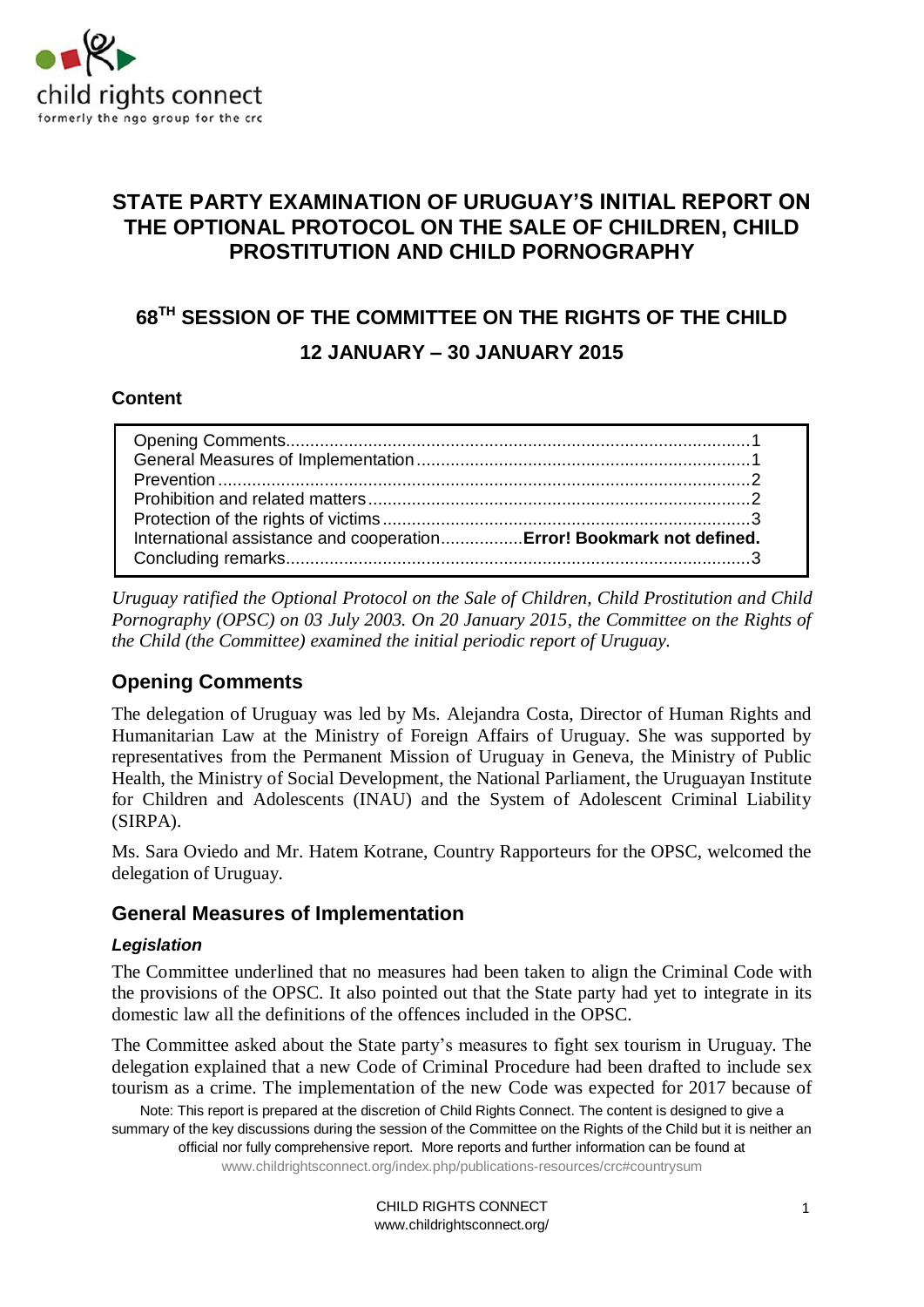

# **STATE PARTY EXAMINATION OF URUGUAY'S INITIAL REPORT ON THE OPTIONAL PROTOCOL ON THE SALE OF CHILDREN, CHILD PROSTITUTION AND CHILD PORNOGRAPHY**

# **68 TH SESSION OF THE COMMITTEE ON THE RIGHTS OF THE CHILD 12 JANUARY – 30 JANUARY 2015**

#### **Content**

| International assistance and cooperationError! Bookmark not defined. |  |
|----------------------------------------------------------------------|--|
|                                                                      |  |
|                                                                      |  |

*Uruguay ratified the Optional Protocol on the Sale of Children, Child Prostitution and Child Pornography (OPSC) on 03 July 2003. On 20 January 2015, the Committee on the Rights of the Child (the Committee) examined the initial periodic report of Uruguay.* 

# <span id="page-0-0"></span>**Opening Comments**

The delegation of Uruguay was led by Ms. Alejandra Costa, Director of Human Rights and Humanitarian Law at the Ministry of Foreign Affairs of Uruguay. She was supported by representatives from the Permanent Mission of Uruguay in Geneva, the Ministry of Public Health, the Ministry of Social Development, the National Parliament, the Uruguayan Institute for Children and Adolescents (INAU) and the System of Adolescent Criminal Liability (SIRPA).

Ms. Sara Oviedo and Mr. Hatem Kotrane, Country Rapporteurs for the OPSC, welcomed the delegation of Uruguay.

#### <span id="page-0-1"></span>**General Measures of Implementation**

#### *Legislation*

The Committee underlined that no measures had been taken to align the Criminal Code with the provisions of the OPSC. It also pointed out that the State party had yet to integrate in its domestic law all the definitions of the offences included in the OPSC.

The Committee asked about the State party's measures to fight sex tourism in Uruguay. The delegation explained that a new Code of Criminal Procedure had been drafted to include sex tourism as a crime. The implementation of the new Code was expected for 2017 because of

Note: This report is prepared at the discretion of Child Rights Connect. The content is designed to give a summary of the key discussions during the session of the Committee on the Rights of the Child but it is neither an official nor fully comprehensive report. More reports and further information can be found at www.childrightsconnect.org/index.php/publications-resources/crc#countrysum

> CHILD RIGHTS CONNECT www.childrightsconnect.org/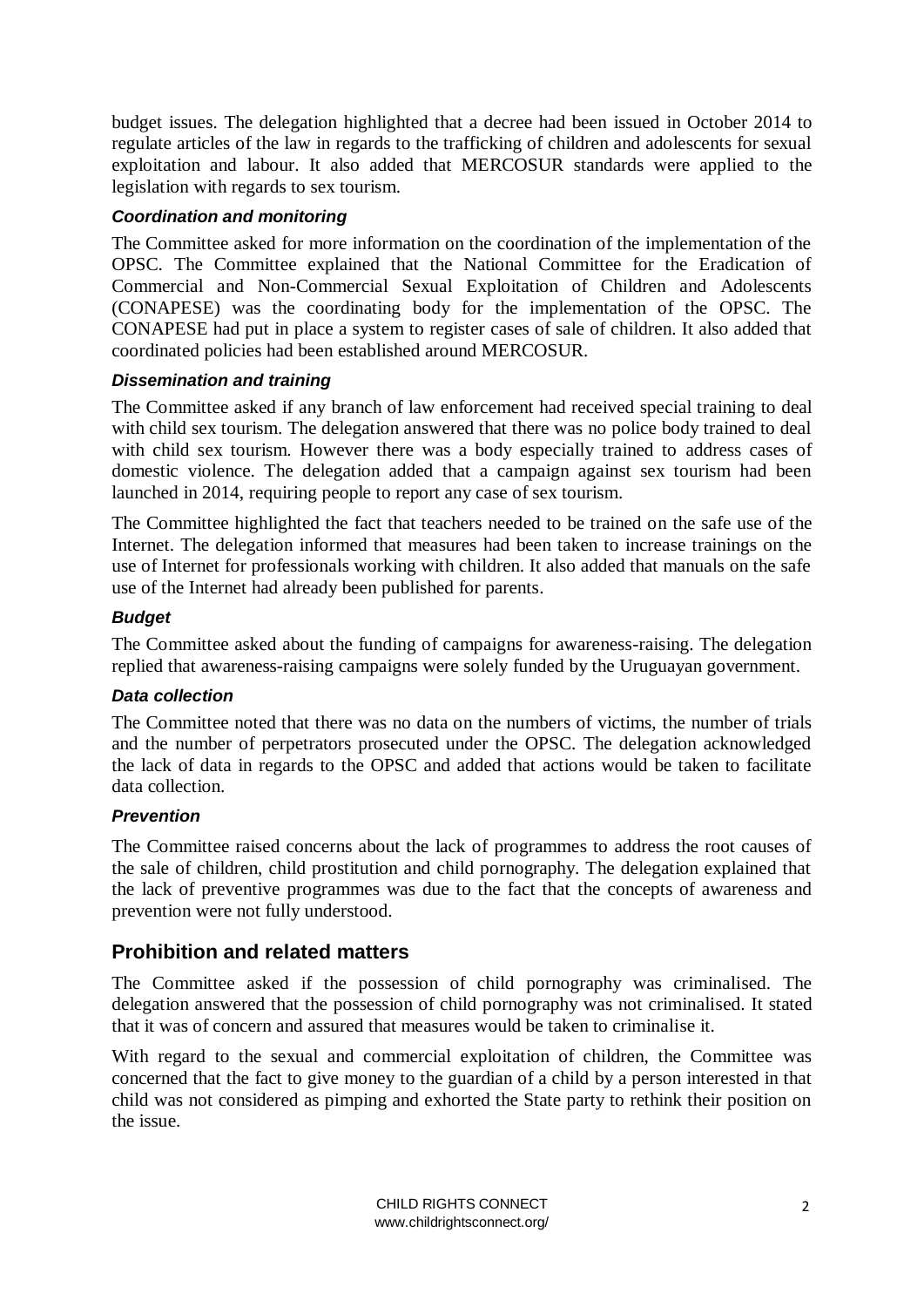budget issues. The delegation highlighted that a decree had been issued in October 2014 to regulate articles of the law in regards to the trafficking of children and adolescents for sexual exploitation and labour. It also added that MERCOSUR standards were applied to the legislation with regards to sex tourism.

#### *Coordination and monitoring*

The Committee asked for more information on the coordination of the implementation of the OPSC. The Committee explained that the National Committee for the Eradication of Commercial and Non-Commercial Sexual Exploitation of Children and Adolescents (CONAPESE) was the coordinating body for the implementation of the OPSC. The CONAPESE had put in place a system to register cases of sale of children. It also added that coordinated policies had been established around MERCOSUR.

#### *Dissemination and training*

The Committee asked if any branch of law enforcement had received special training to deal with child sex tourism. The delegation answered that there was no police body trained to deal with child sex tourism. However there was a body especially trained to address cases of domestic violence. The delegation added that a campaign against sex tourism had been launched in 2014, requiring people to report any case of sex tourism.

The Committee highlighted the fact that teachers needed to be trained on the safe use of the Internet. The delegation informed that measures had been taken to increase trainings on the use of Internet for professionals working with children. It also added that manuals on the safe use of the Internet had already been published for parents.

#### *Budget*

The Committee asked about the funding of campaigns for awareness-raising. The delegation replied that awareness-raising campaigns were solely funded by the Uruguayan government.

#### *Data collection*

The Committee noted that there was no data on the numbers of victims, the number of trials and the number of perpetrators prosecuted under the OPSC. The delegation acknowledged the lack of data in regards to the OPSC and added that actions would be taken to facilitate data collection.

#### <span id="page-1-0"></span>*Prevention*

The Committee raised concerns about the lack of programmes to address the root causes of the sale of children, child prostitution and child pornography. The delegation explained that the lack of preventive programmes was due to the fact that the concepts of awareness and prevention were not fully understood.

#### <span id="page-1-1"></span>**Prohibition and related matters**

The Committee asked if the possession of child pornography was criminalised. The delegation answered that the possession of child pornography was not criminalised. It stated that it was of concern and assured that measures would be taken to criminalise it.

With regard to the sexual and commercial exploitation of children, the Committee was concerned that the fact to give money to the guardian of a child by a person interested in that child was not considered as pimping and exhorted the State party to rethink their position on the issue.